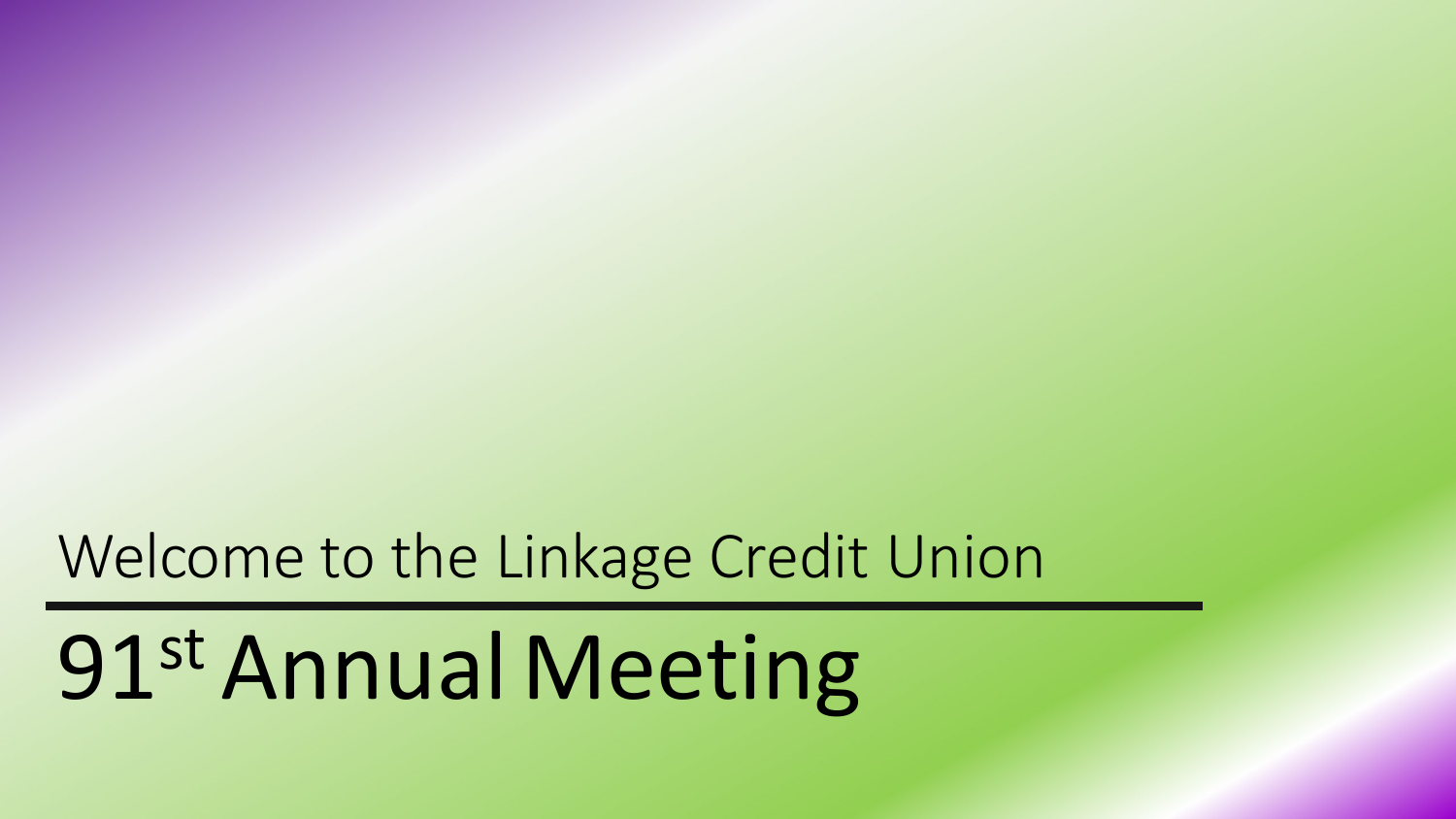#### Welcome to the Linkage Credit Union

# 91st AnnualMeeting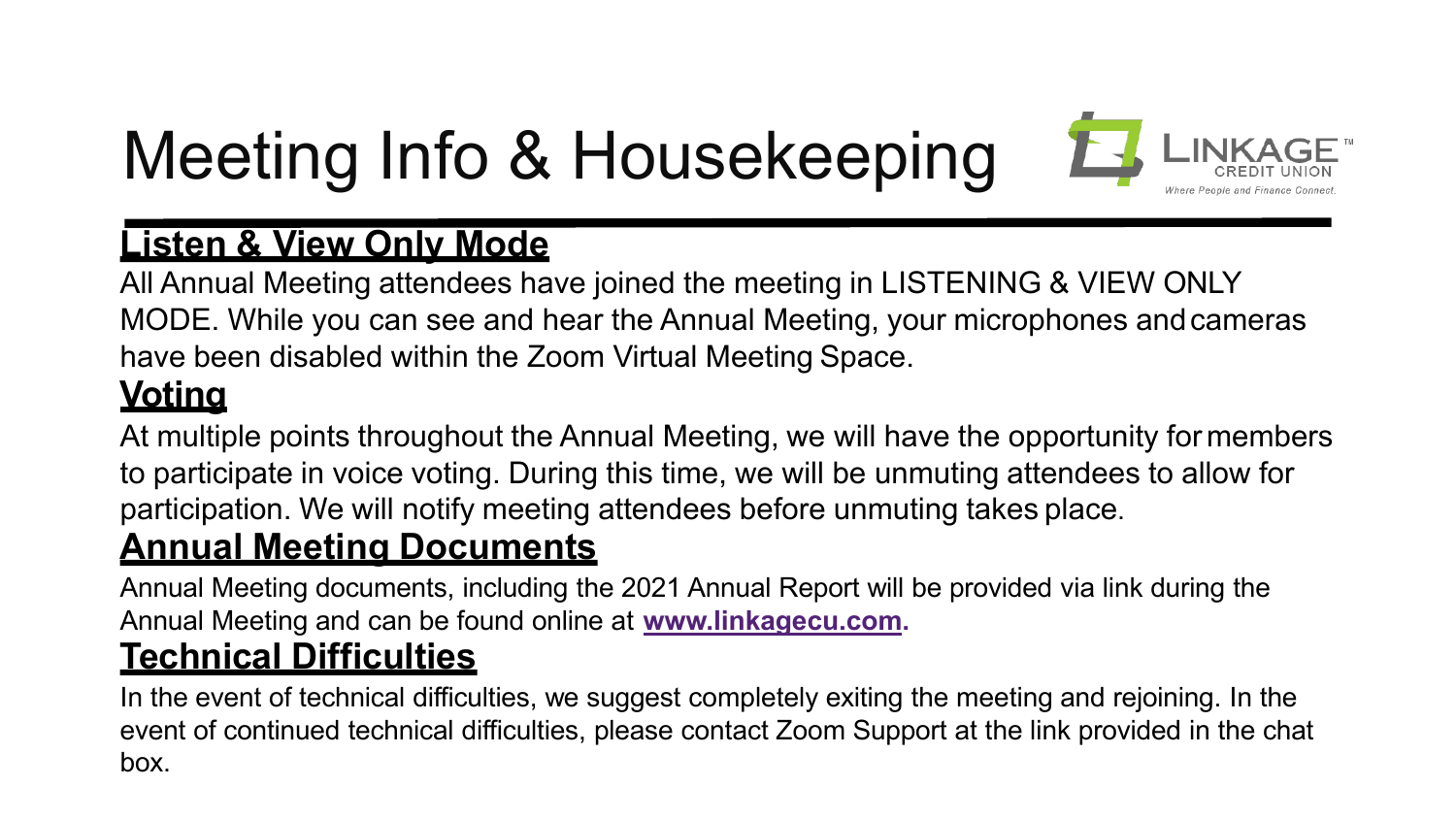# Meeting Info & Housekeeping



#### **Listen & View Only Mode**

All Annual Meeting attendees have joined the meeting in LISTENING & VIEW ONLY MODE. While you can see and hear the Annual Meeting, your microphones andcameras have been disabled within the Zoom Virtual Meeting Space.

#### **Voting**

At multiple points throughout the Annual Meeting, we will have the opportunity for members to participate in voice voting. During this time, we will be unmuting attendees to allow for participation. We will notify meeting attendees before unmuting takes place.

#### **Annual Meeting Documents**

Annual Meeting documents, including the 2021 Annual Report will be provided via link during the Annual Meeting and can be found online at **[www.linkagecu.com.](http://www.linkagecu.com/)**

#### **Technical Difficulties**

In the event of technical difficulties, we suggest completely exiting the meeting and rejoining. In the event of continued technical difficulties, please contact Zoom Support at the link provided in the chat box.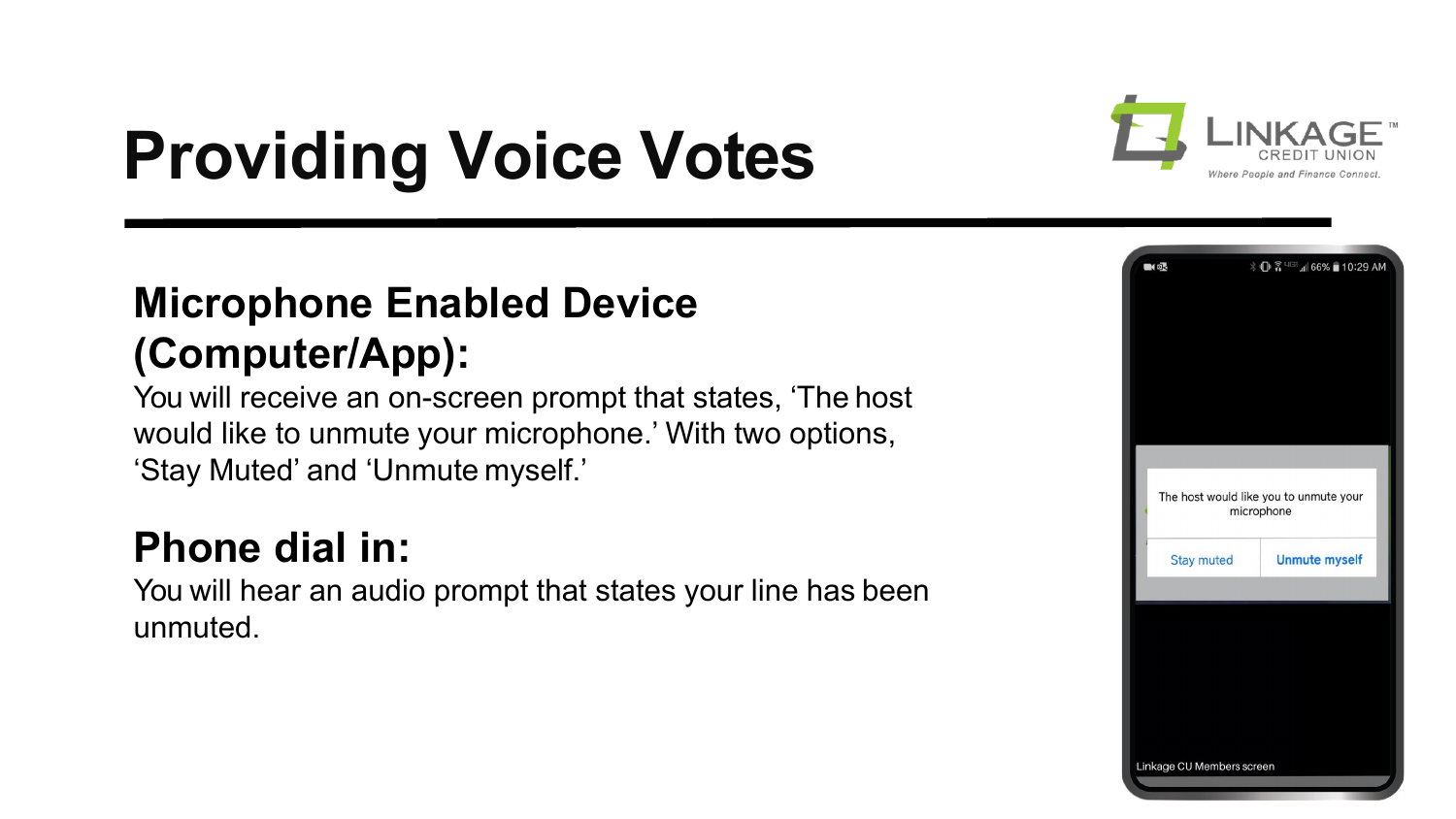

## **Providing Voice Votes**

#### **Microphone Enabled Device (Computer/App):**

You will receive an on-screen prompt that states, 'The host would like to unmute your microphone.' With two options, 'Stay Muted' and 'Unmute myself.'

#### **Phone dial in:**

You will hear an audio prompt that states your line has been unmuted.

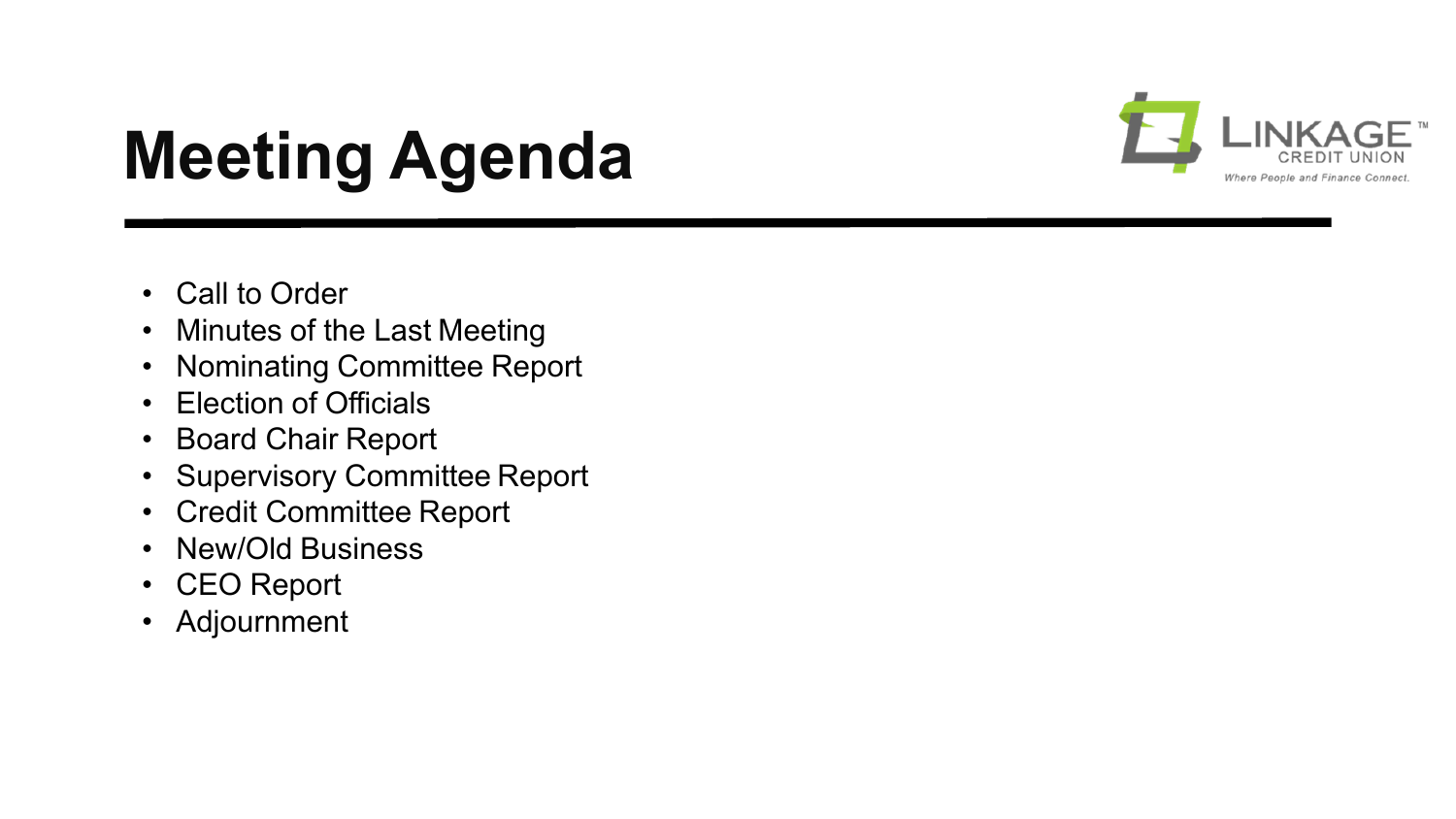

### **Meeting Agenda**

- Call to Order
- Minutes of the Last Meeting
- Nominating Committee Report
- Election of Officials
- Board Chair Report
- Supervisory Committee Report
- Credit Committee Report
- New/Old Business
- CEO Report
- Adjournment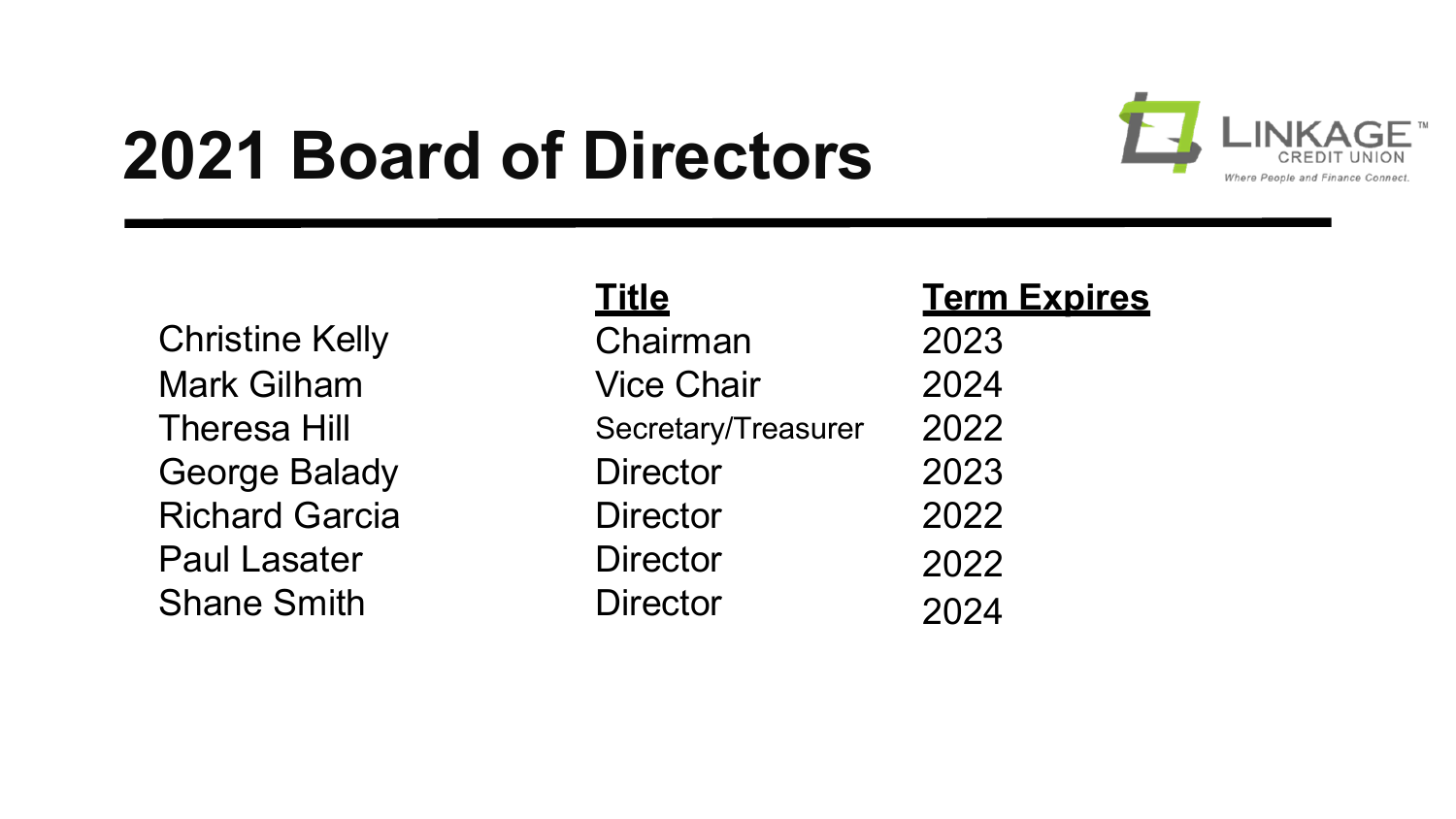### **2021 Board of Directors**



Christine Kelly Mark Gilham Theresa Hill George Balady **Richard Garcia** Paul Lasater Shane Smith

#### **Title**

| Chairman            | 2023 |
|---------------------|------|
| <b>Vice Chair</b>   | 2024 |
| Secretary/Treasurer | 2022 |
| <b>Director</b>     | 2023 |
| <b>Director</b>     | 2022 |
| <b>Director</b>     | 2022 |
| <b>Director</b>     | 2024 |

**Term Expires**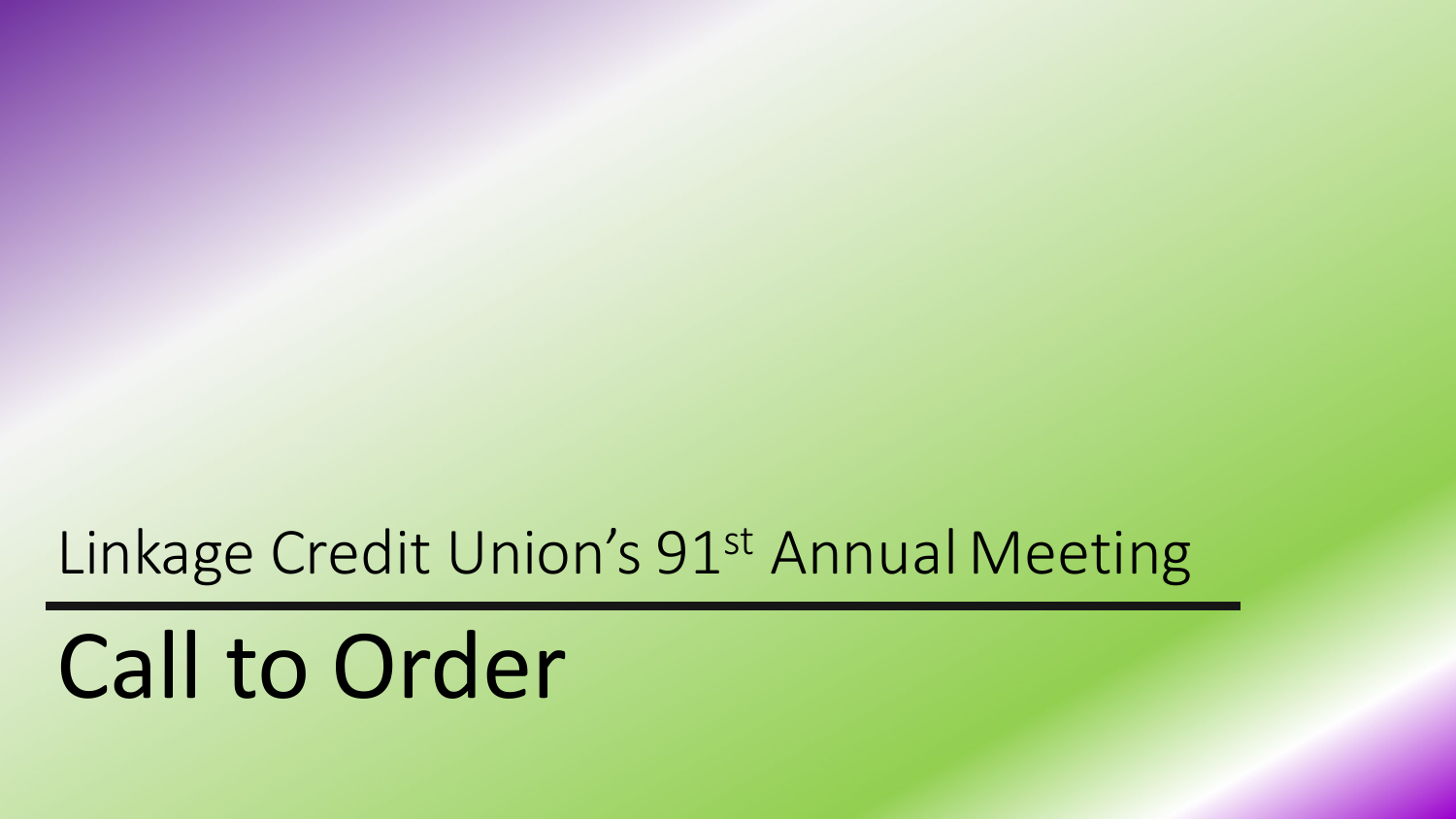Linkage Credit Union's 91st Annual Meeting

Call to Order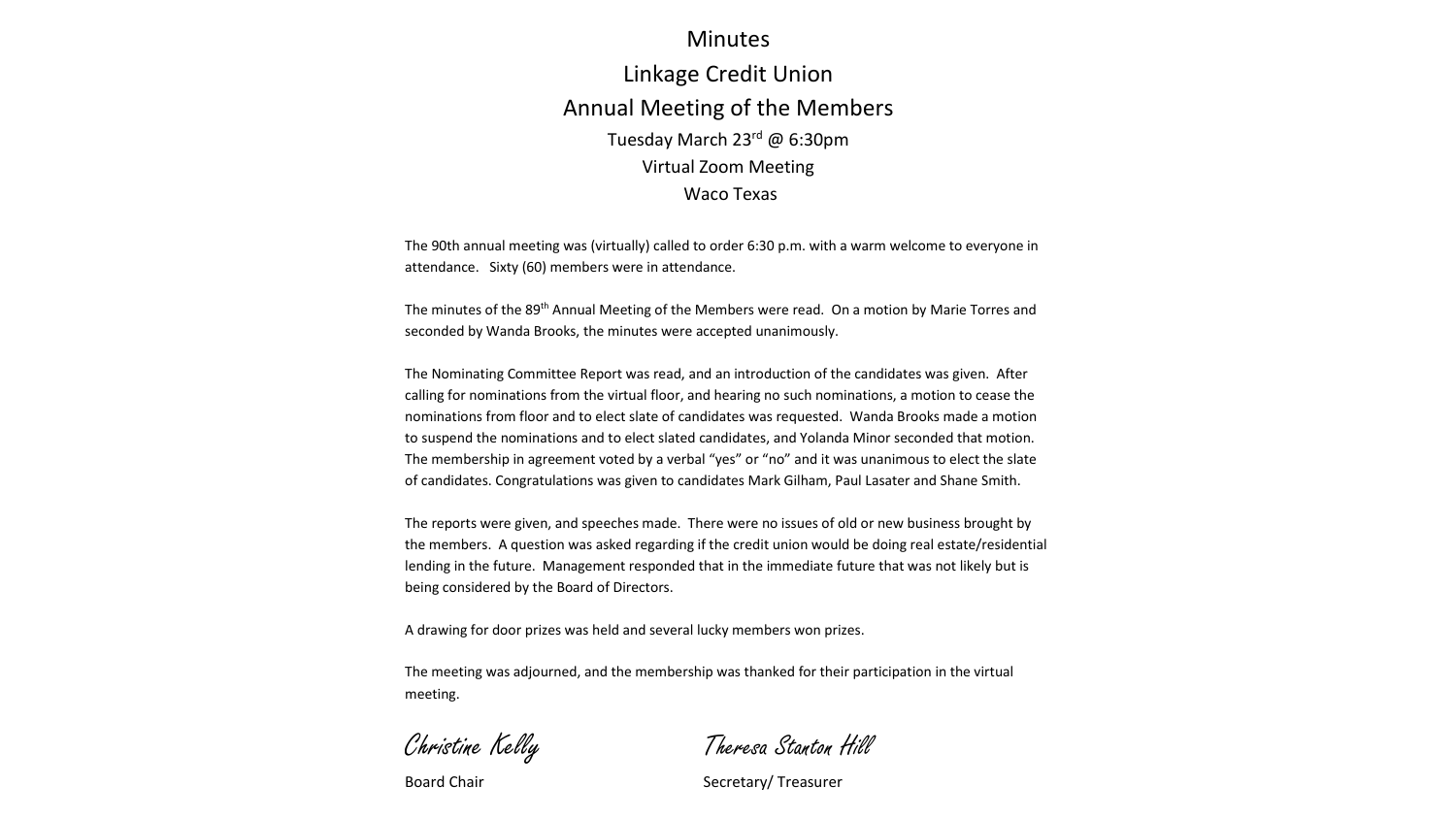#### Minutes

#### Linkage Credit Union Annual Meeting of the Members Tuesday March 23rd @ 6:30pm Virtual Zoom Meeting Waco Texas

The 90th annual meeting was (virtually) called to order 6:30 p.m. with a warm welcome to everyone in attendance. Sixty (60) members were in attendance.

The minutes of the 89th Annual Meeting of the Members were read. On a motion by Marie Torres and seconded by Wanda Brooks, the minutes were accepted unanimously.

The Nominating Committee Report was read, and an introduction of the candidates was given. After calling for nominations from the virtual floor, and hearing no such nominations, a motion to cease the nominations from floor and to elect slate of candidates was requested. Wanda Brooks made a motion to suspend the nominations and to elect slated candidates, and Yolanda Minor seconded that motion. The membership in agreement voted by a verbal "yes" or "no" and it was unanimous to elect the slate of candidates. Congratulations was given to candidates Mark Gilham, Paul Lasater and Shane Smith.

The reports were given, and speeches made. There were no issues of old or new business brought by the members. A question was asked regarding if the credit union would be doing real estate/residential lending in the future. Management responded that in the immediate future that was not likely but is being considered by the Board of Directors.

A drawing for door prizes was held and several lucky members won prizes.

The meeting was adjourned, and the membership was thanked for their participation in the virtual meeting.

Christine Kelly Theresa Stanton Hill

Board Chair Secretary/ Treasurer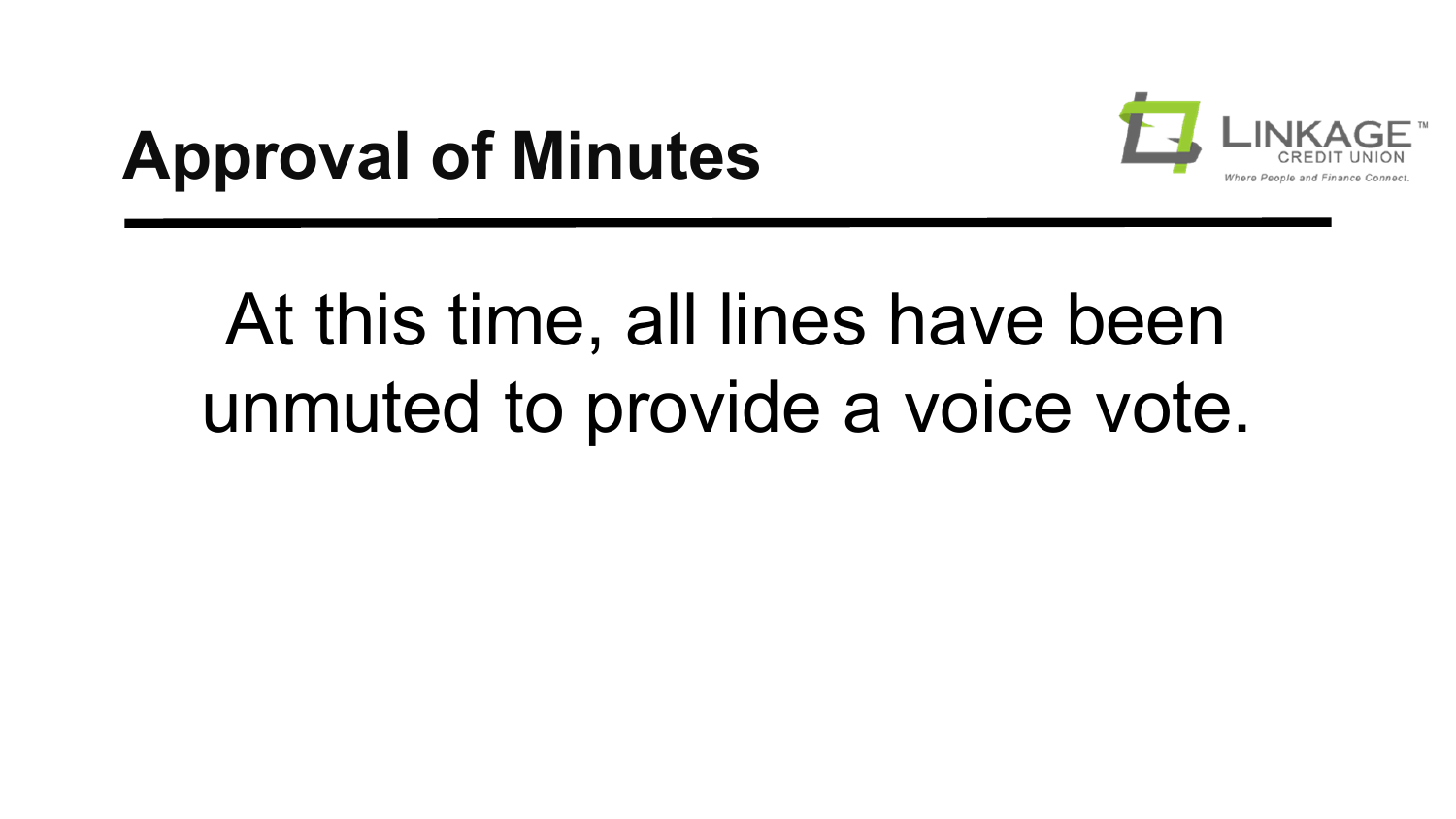## **Approval of Minutes**



# At this time, all lines have been unmuted to provide a voice vote.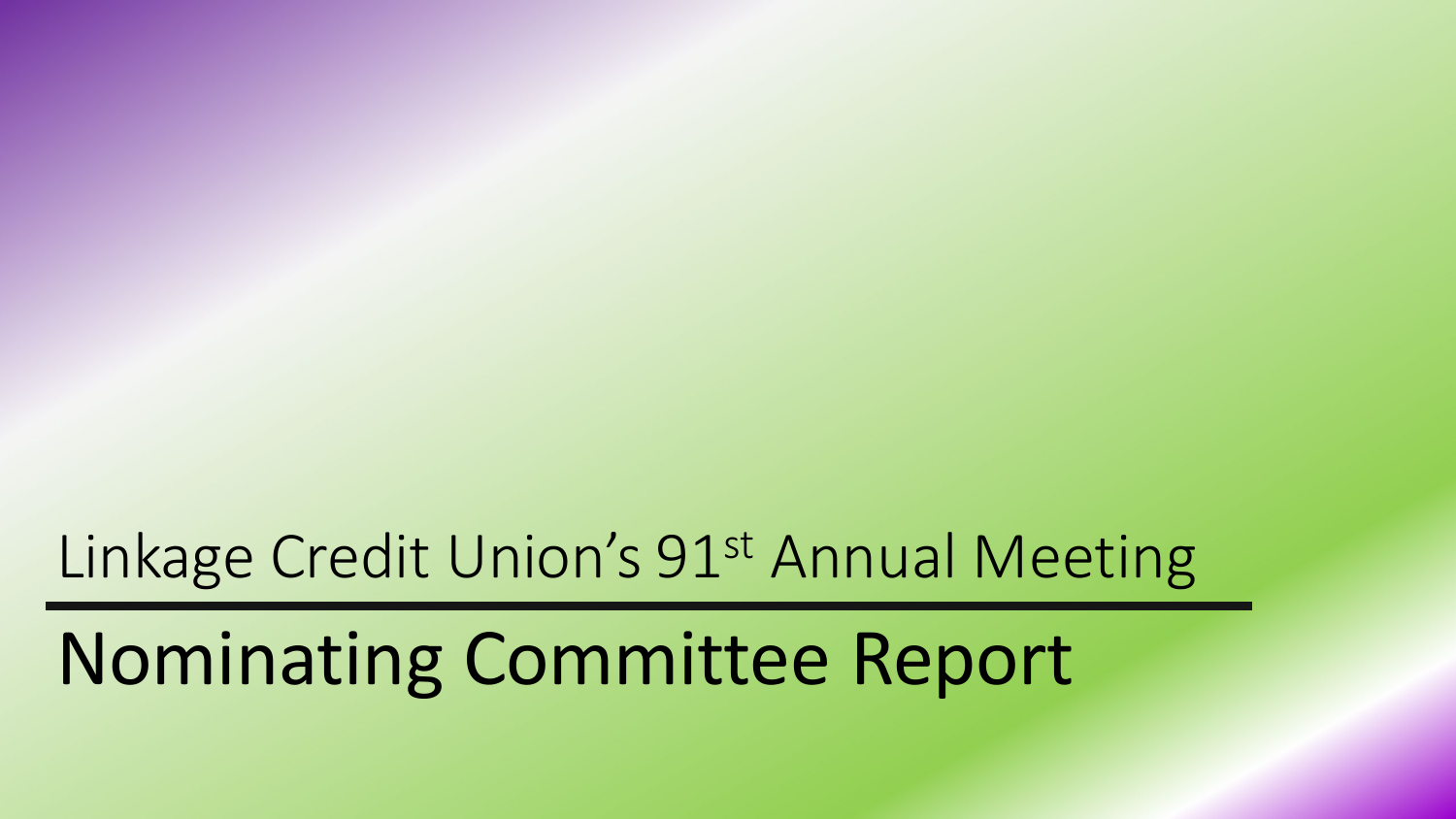#### Linkage Credit Union's 91st Annual Meeting

### Nominating Committee Report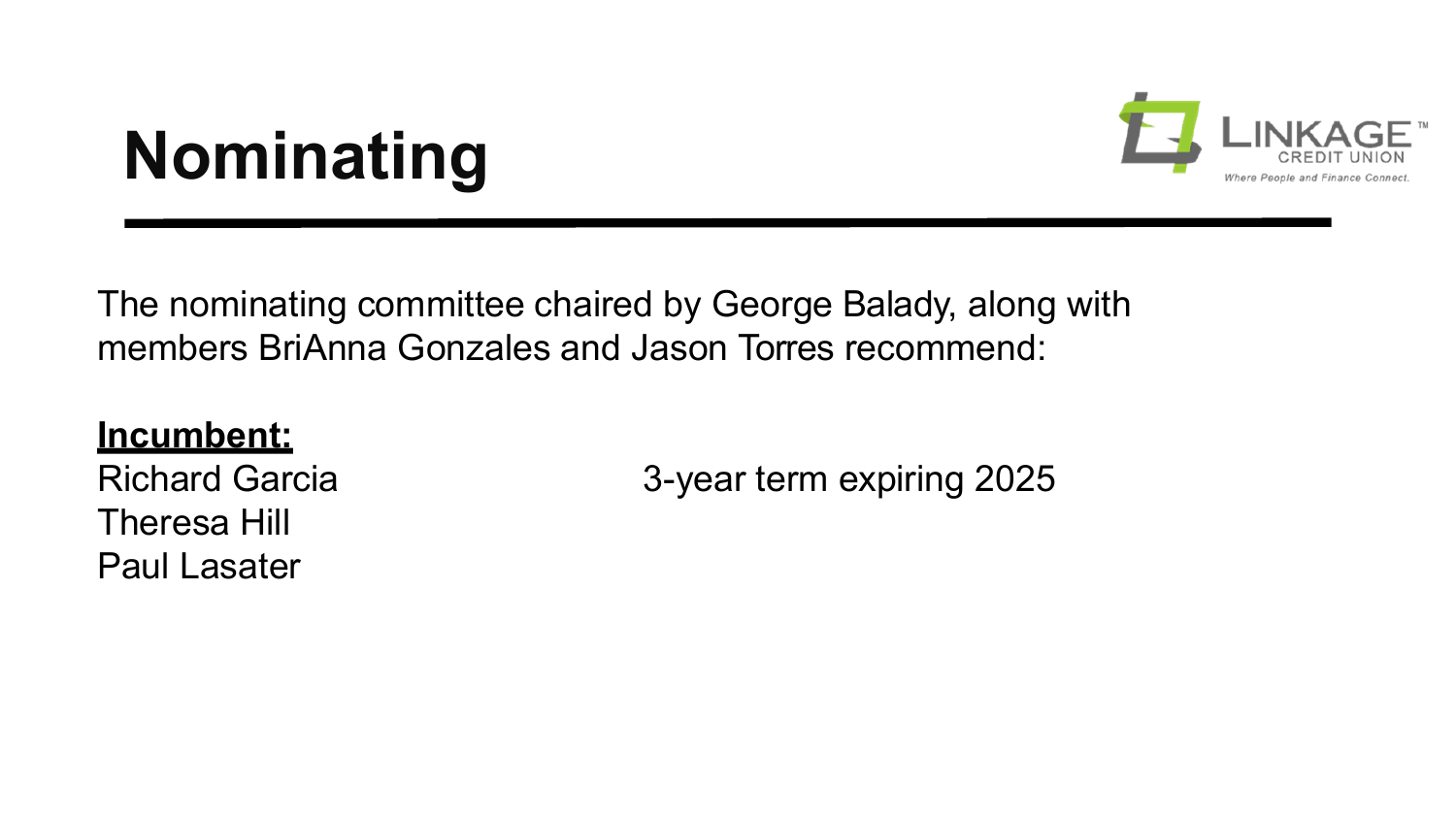## **Nominating**



The nominating committee chaired by George Balady, along with members BriAnna Gonzales and Jason Torres recommend:

#### **Incumbent:**

Richard Garcia Theresa Hill Paul Lasater

3-year term expiring 2025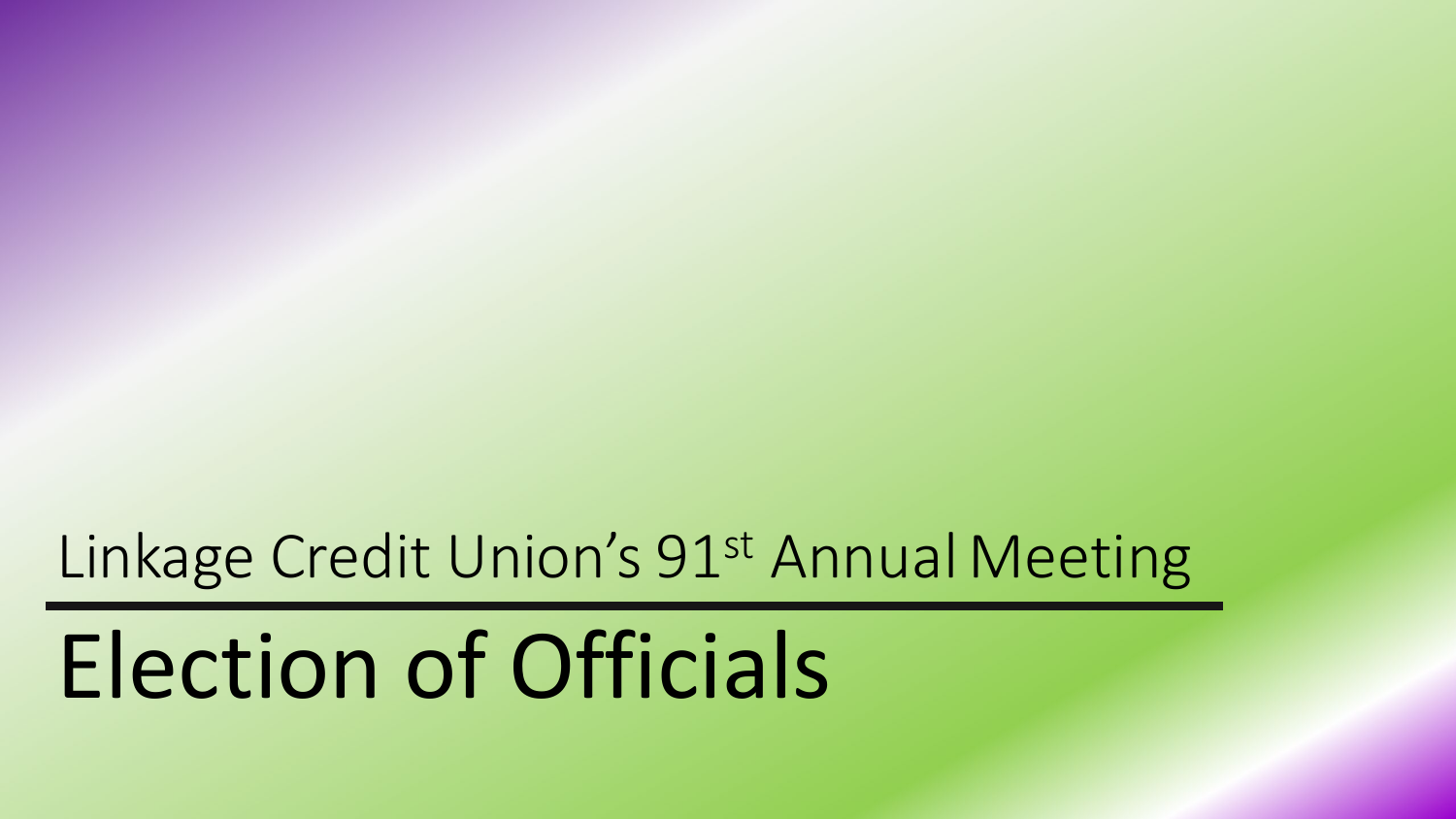#### Linkage Credit Union's 91<sup>st</sup> Annual Meeting

# Election of Officials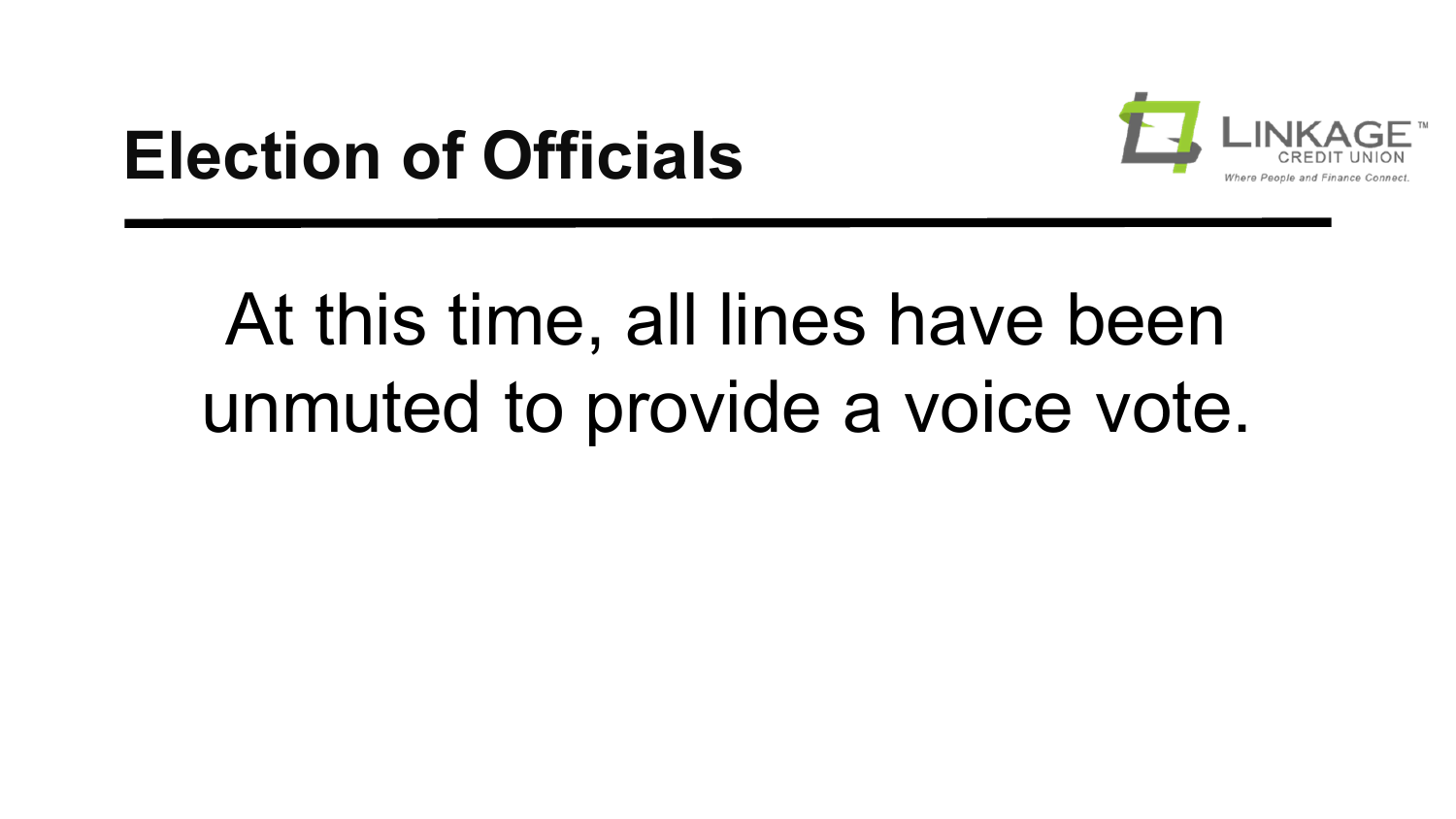### **Election of Officials**



# At this time, all lines have been unmuted to provide a voice vote.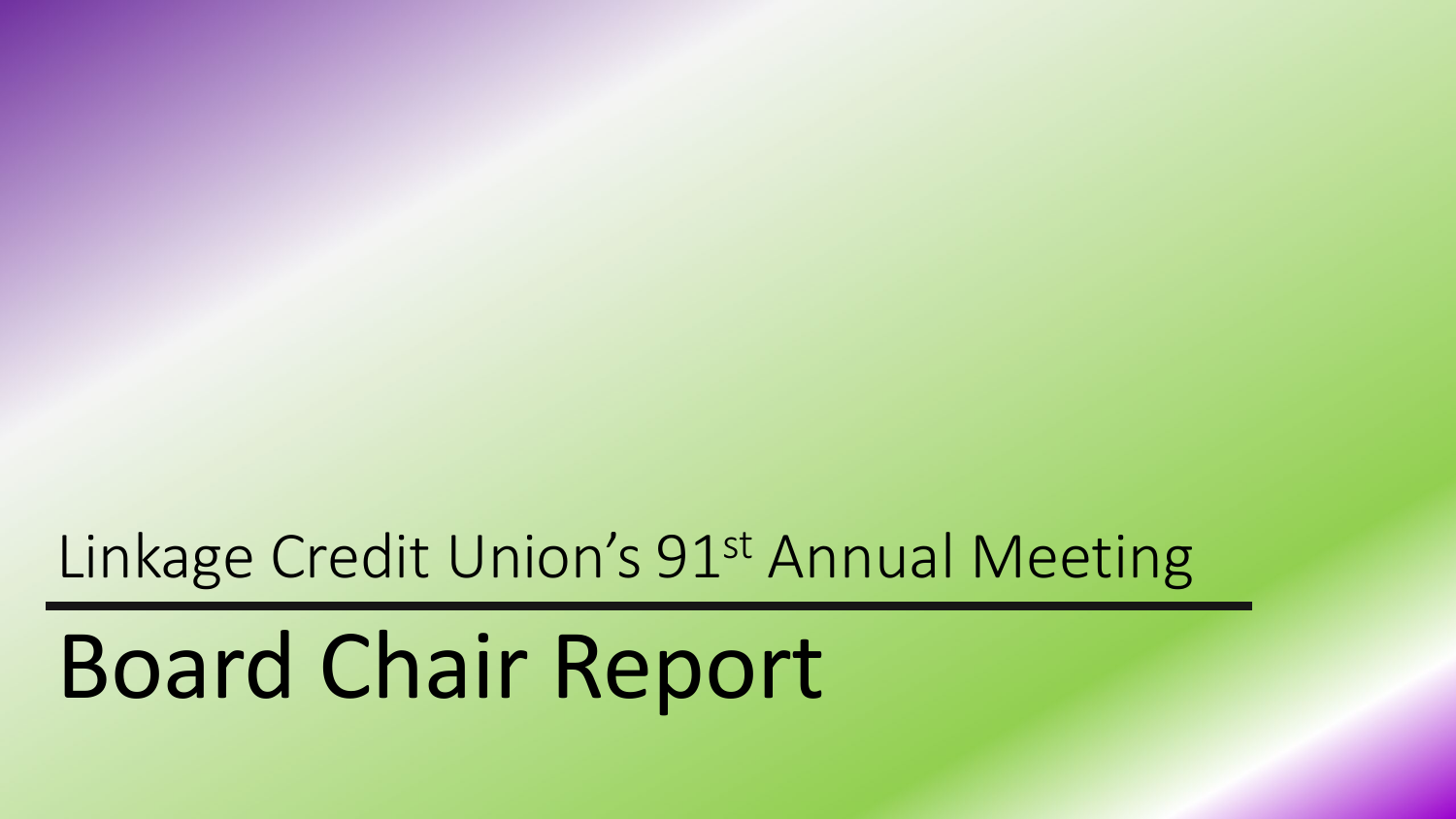#### Linkage Credit Union's 91st Annual Meeting

# Board Chair Report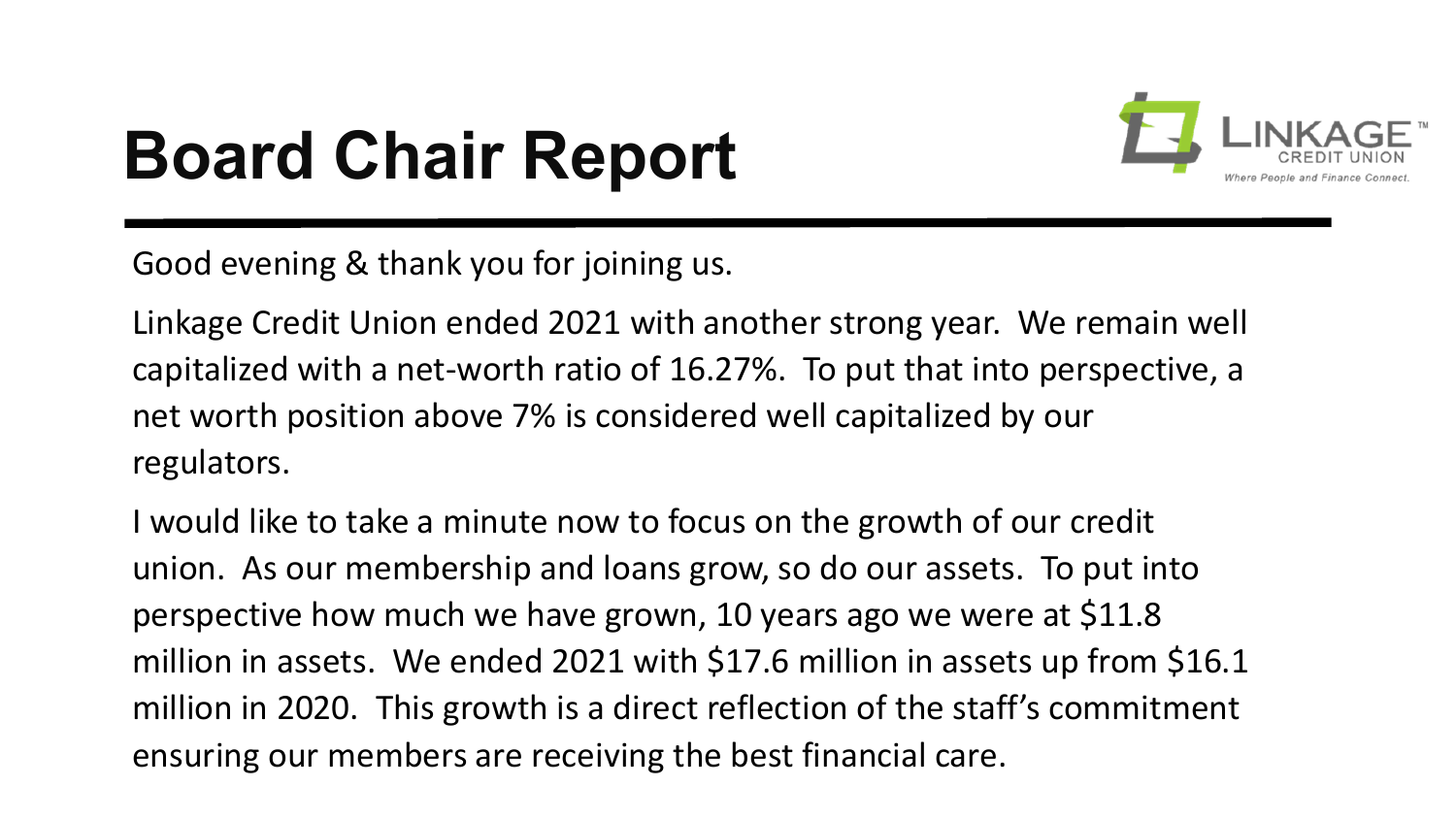## **Board Chair Report**



Good evening & thank you for joining us.

Linkage Credit Union ended 2021 with another strong year. We remain well capitalized with a net-worth ratio of 16.27%. To put that into perspective, a net worth position above 7% is considered well capitalized by our regulators.

I would like to take a minute now to focus on the growth of our credit union. As our membership and loans grow, so do our assets. To put into perspective how much we have grown, 10 years ago we were at \$11.8 million in assets. We ended 2021 with \$17.6 million in assets up from \$16.1 million in 2020. This growth is a direct reflection of the staff's commitment ensuring our members are receiving the best financial care.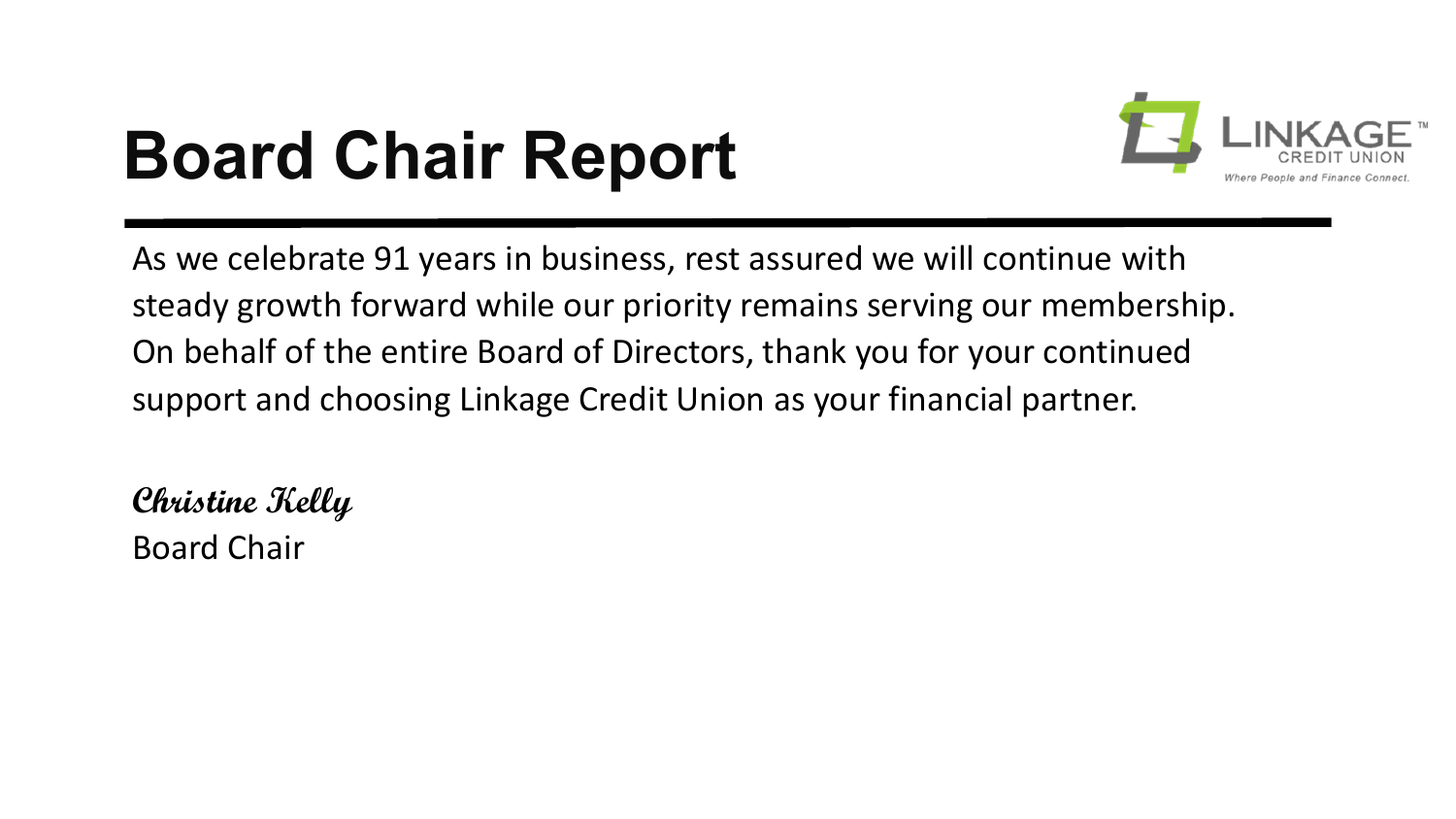## **Board Chair Report**



As we celebrate 91 years in business, rest assured we will continue with steady growth forward while our priority remains serving our membership. On behalf of the entire Board of Directors, thank you for your continued support and choosing Linkage Credit Union as your financial partner.

**Christine Kelly** Board Chair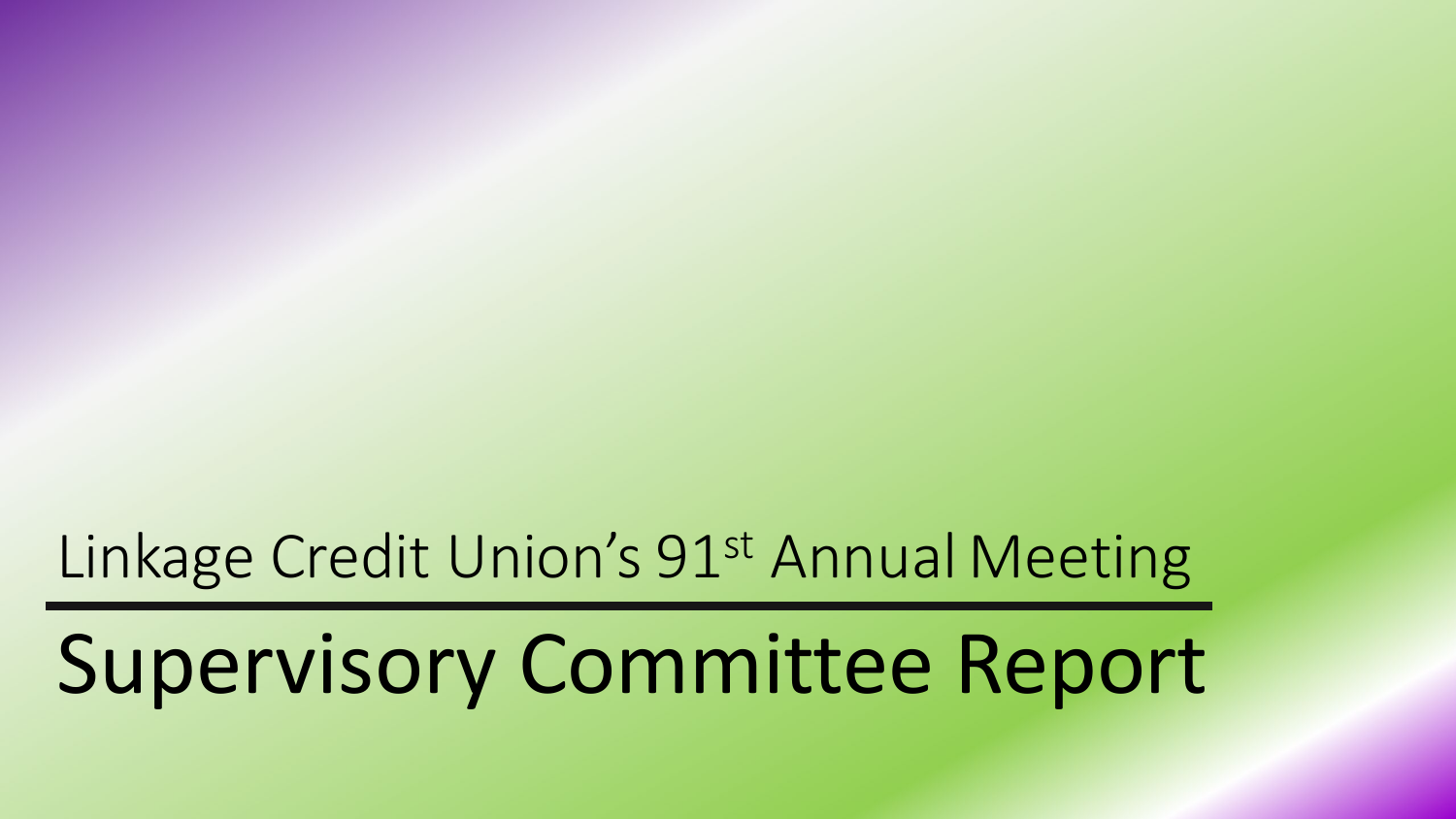#### Linkage Credit Union's 91st Annual Meeting

# Supervisory Committee Report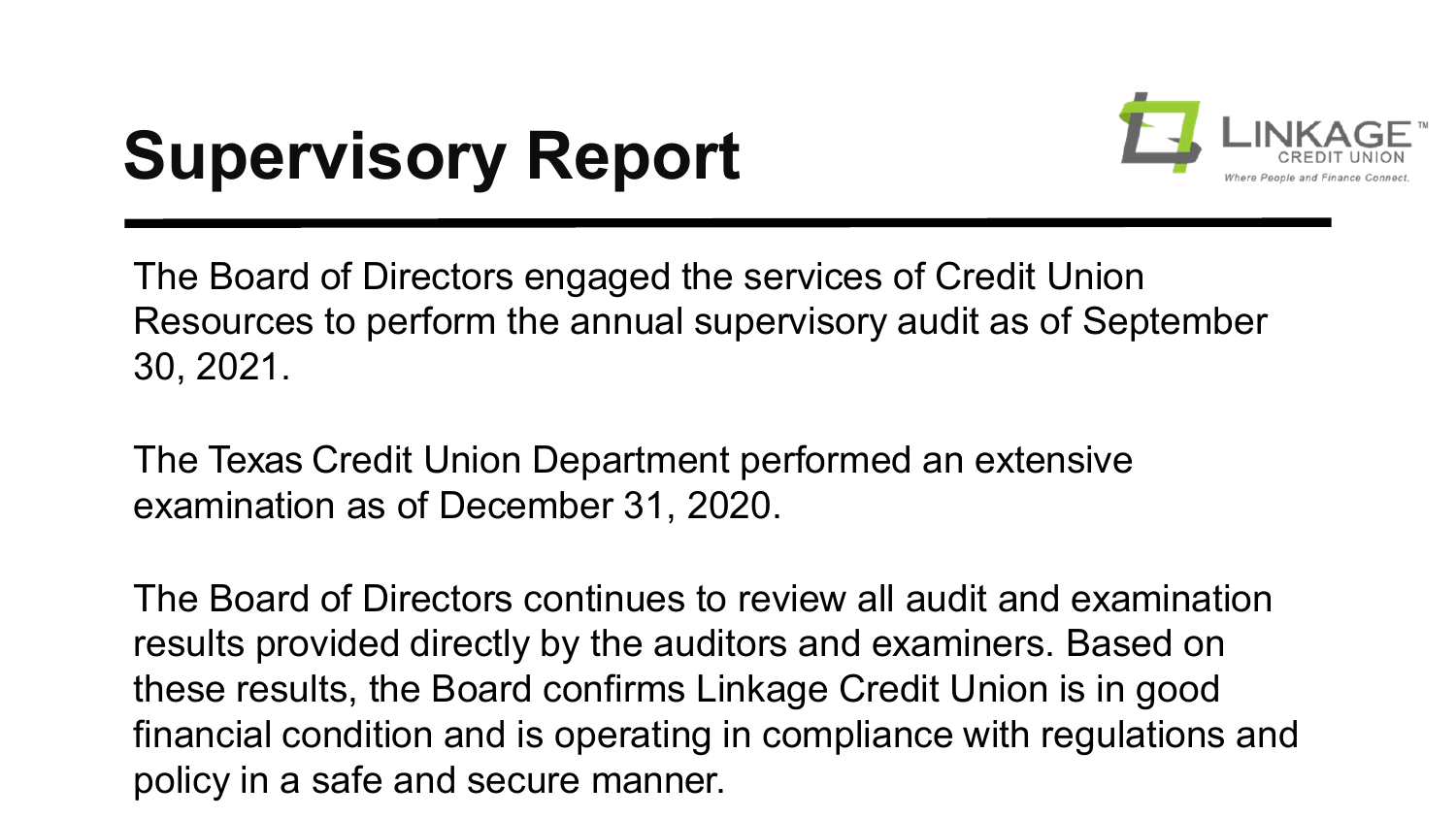## **Supervisory Report**



The Board of Directors engaged the services of Credit Union Resources to perform the annual supervisory audit as of September 30, 2021.

The Texas Credit Union Department performed an extensive examination as of December 31, 2020.

The Board of Directors continues to review all audit and examination results provided directly by the auditors and examiners. Based on these results, the Board confirms Linkage Credit Union is in good financial condition and is operating in compliance with regulations and policy in a safe and secure manner.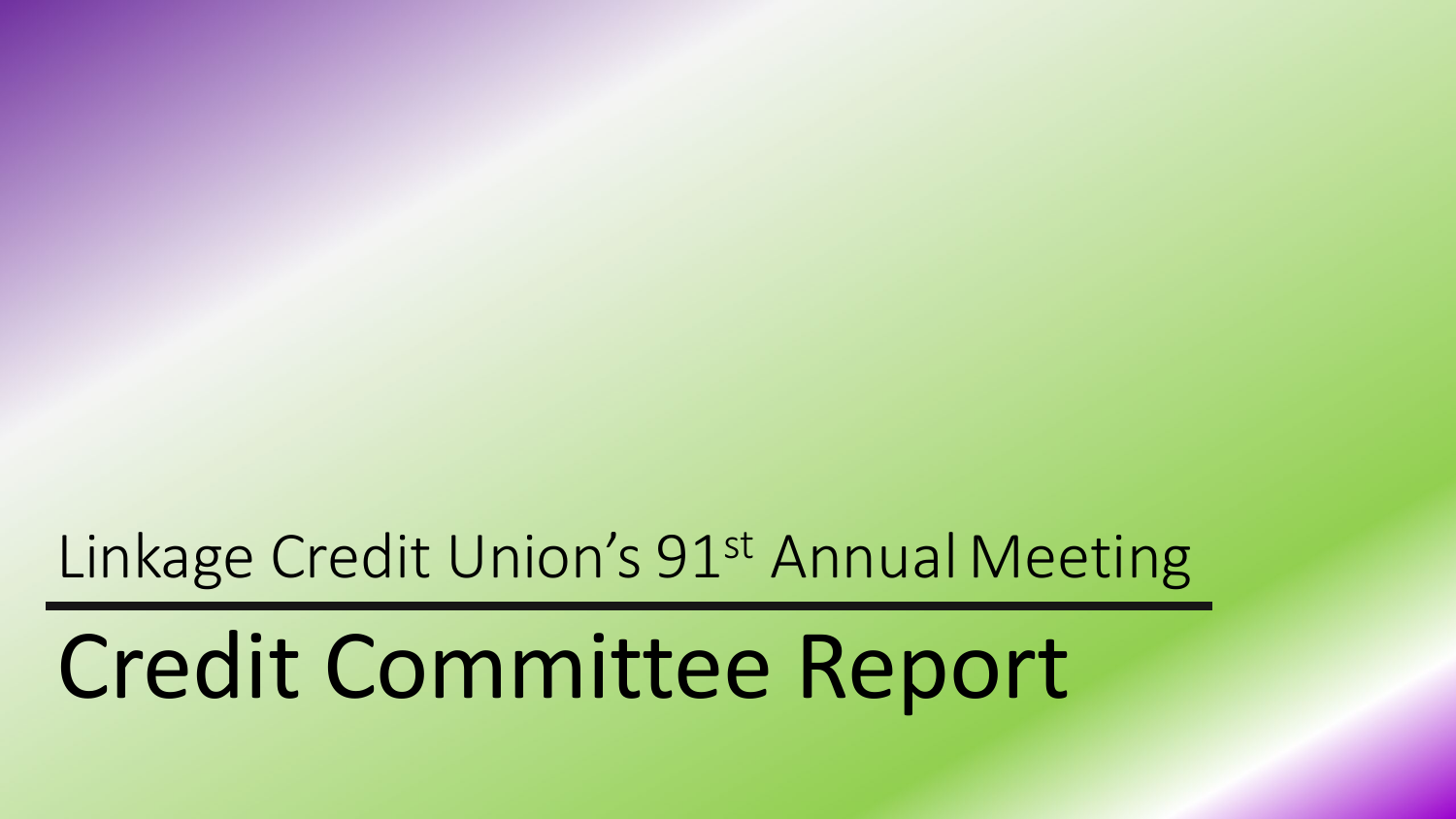#### Linkage Credit Union's 91<sup>st</sup> Annual Meeting

# Credit Committee Report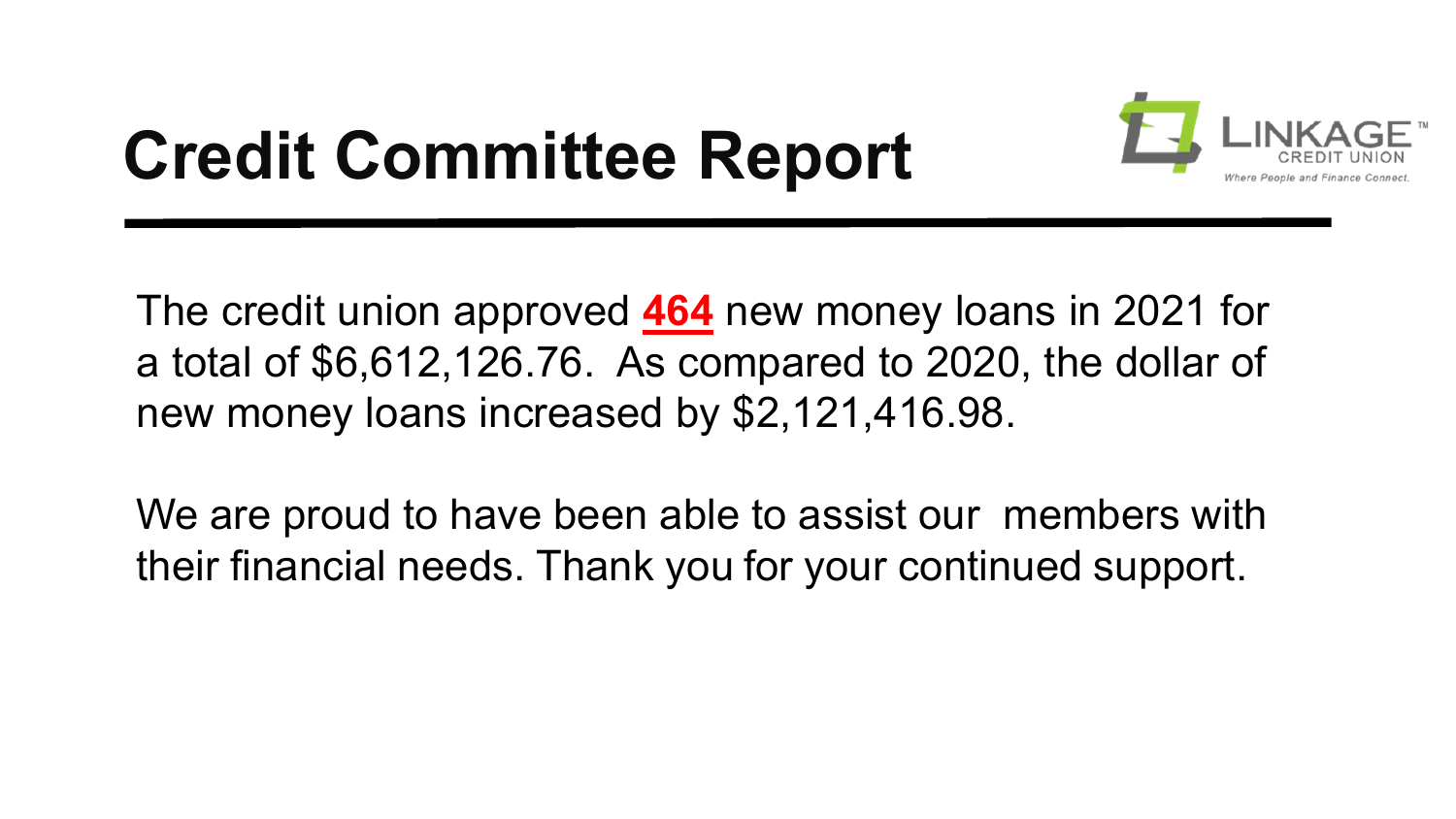## **Credit Committee Report**



The credit union approved **464** new money loans in 2021 for a total of \$6,612,126.76. As compared to 2020, the dollar of new money loans increased by \$2,121,416.98.

We are proud to have been able to assist our members with their financial needs. Thank you for your continued support.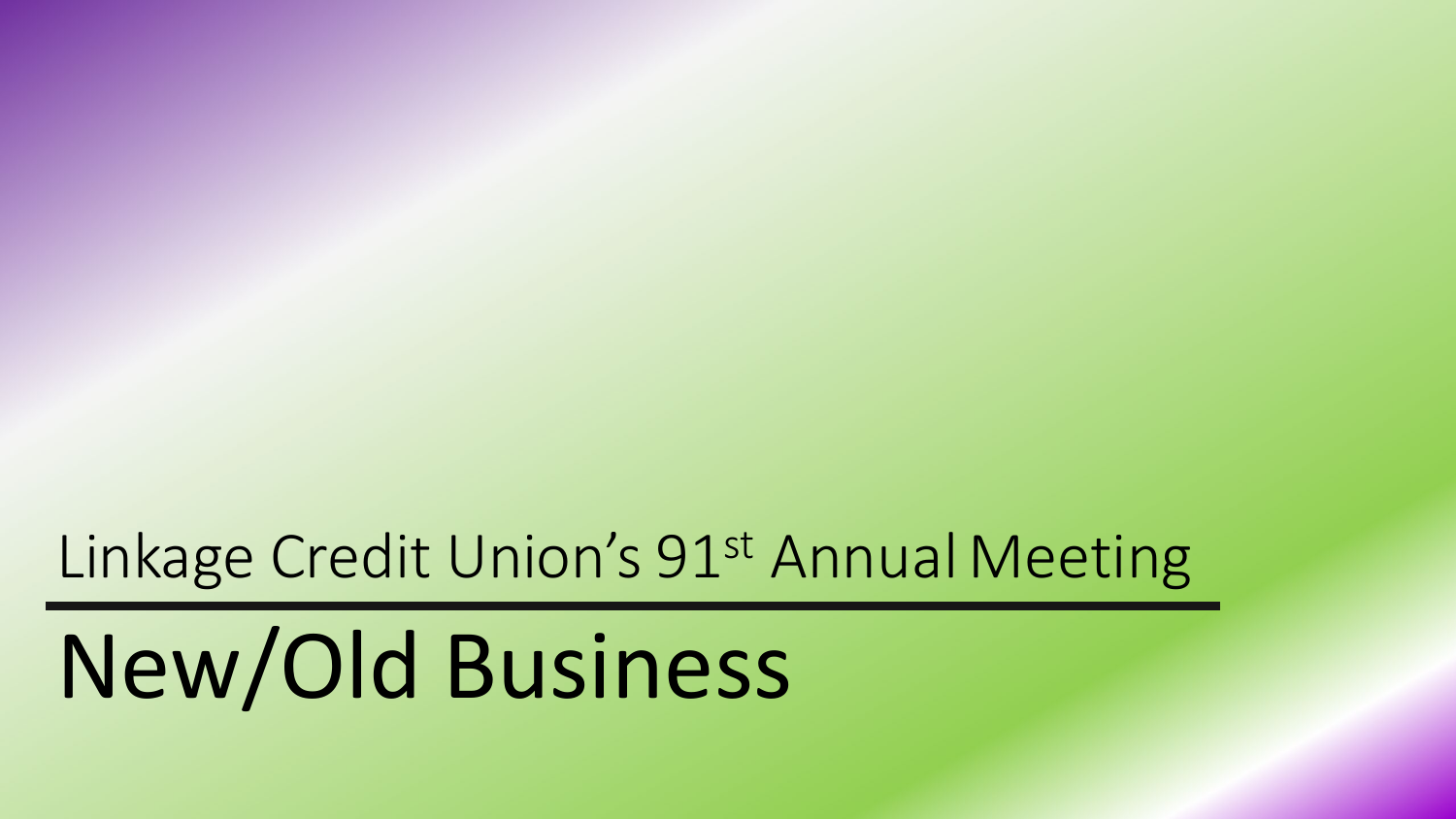#### Linkage Credit Union's 91<sup>st</sup> Annual Meeting

# New/Old Business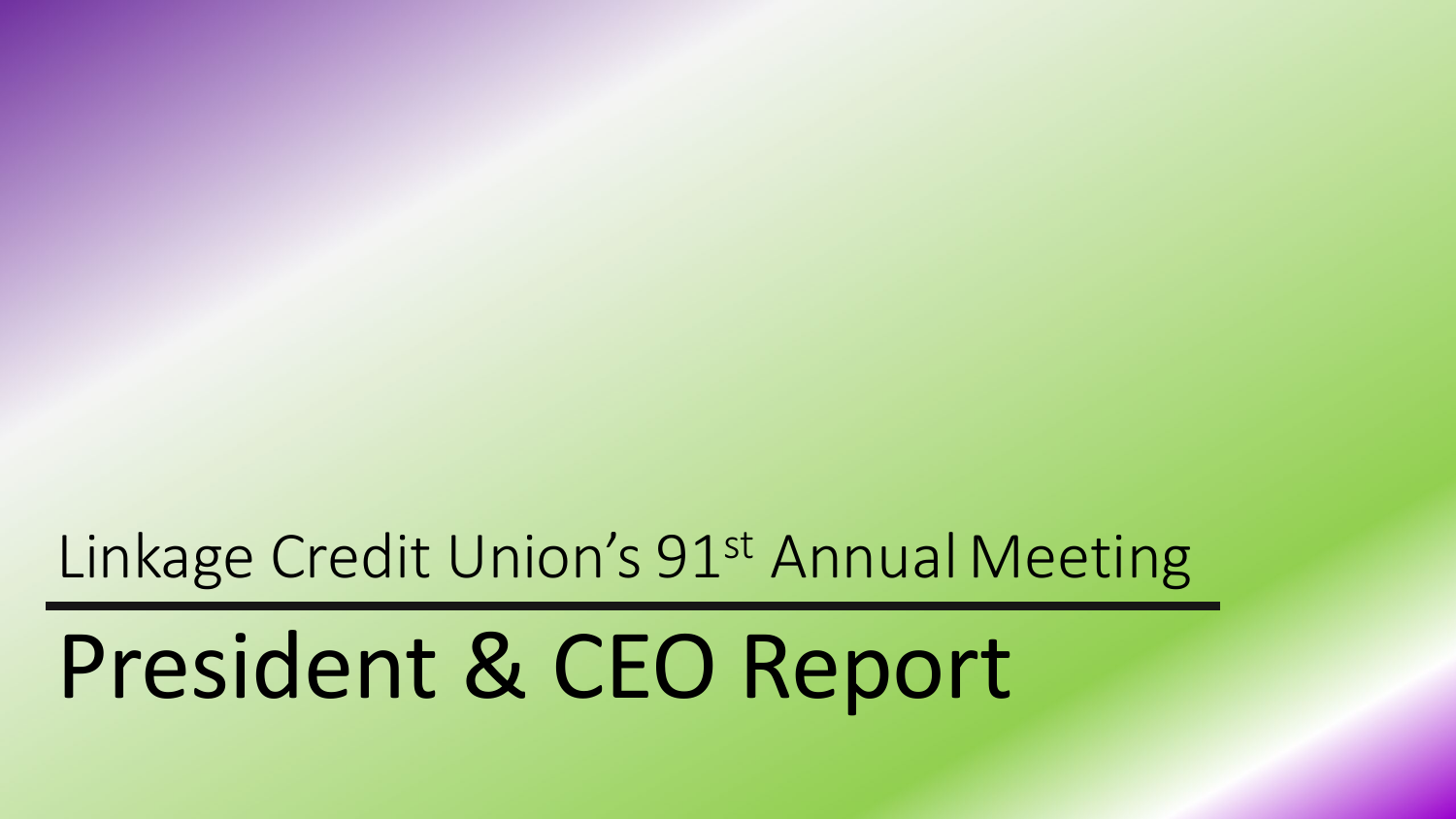#### Linkage Credit Union's 91<sup>st</sup> Annual Meeting

# President & CEO Report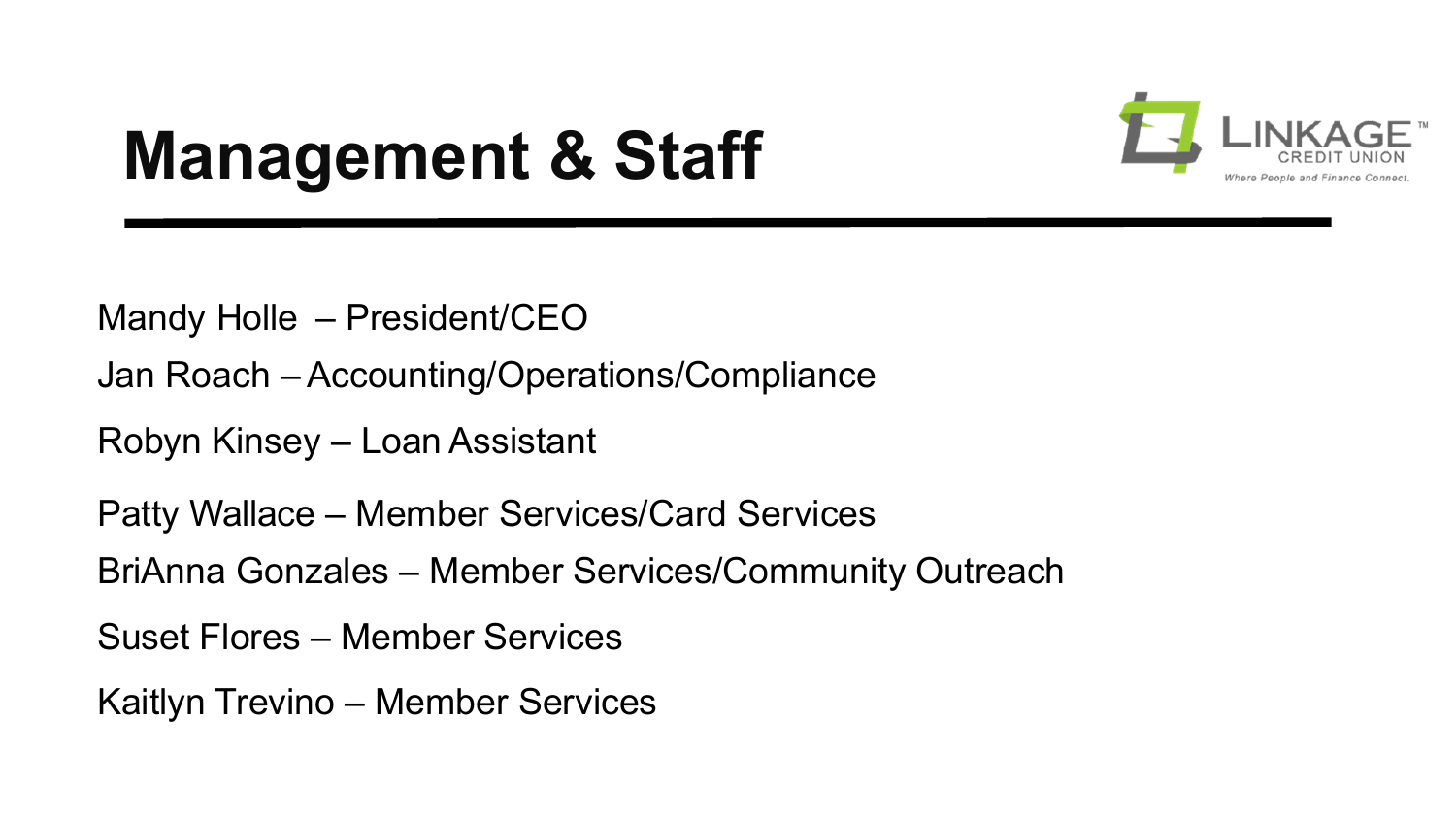

### **Management & Staff**

Mandy Holle – President/CEO

Jan Roach – Accounting/Operations/Compliance

Robyn Kinsey – Loan Assistant

Patty Wallace – Member Services/Card Services

BriAnna Gonzales – Member Services/Community Outreach

Suset Flores – Member Services

Kaitlyn Trevino – Member Services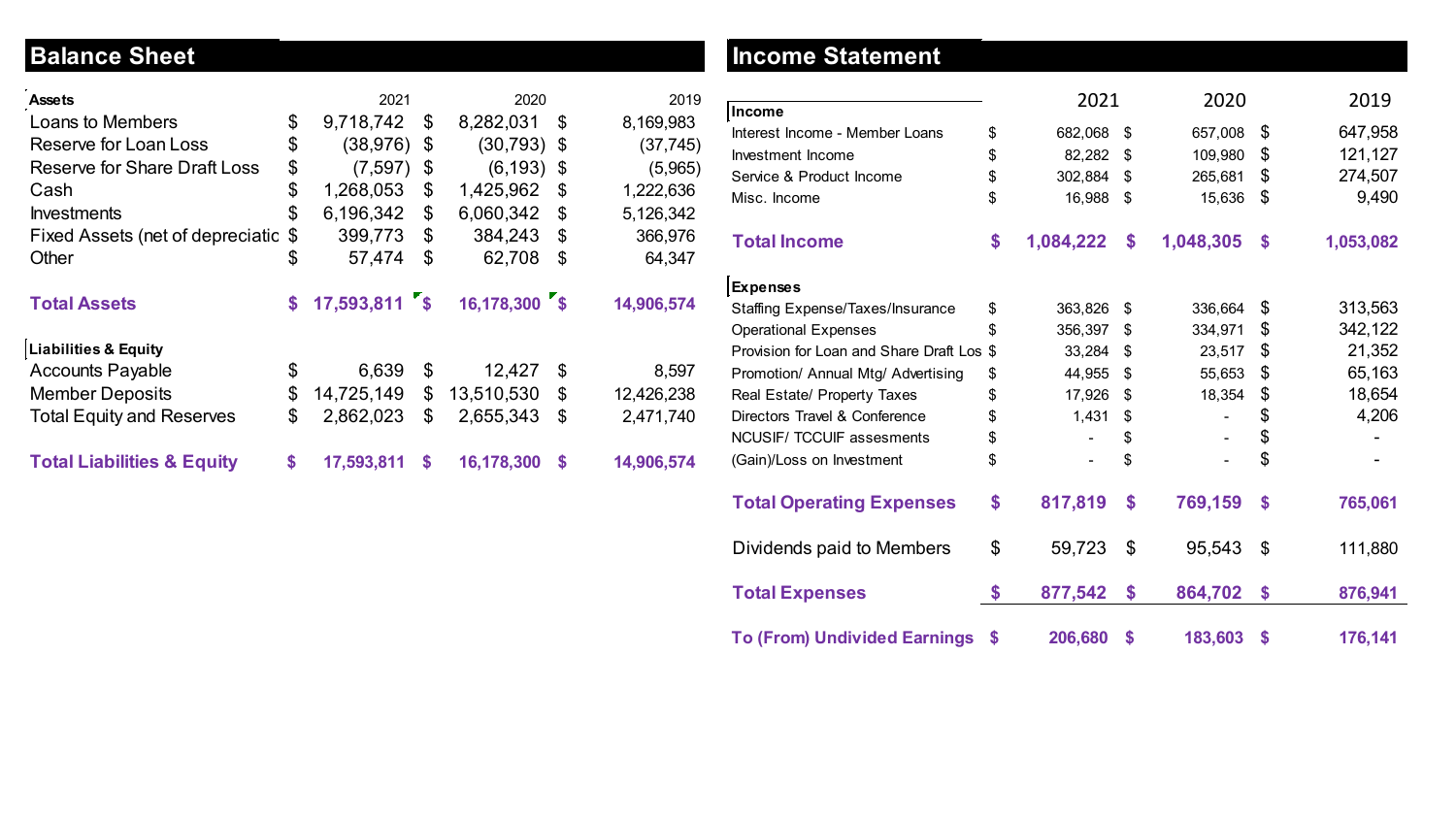#### **Balance Sheet**

| <b>Assets</b>                         | 2021                |    | 2020          |    | 2019       |
|---------------------------------------|---------------------|----|---------------|----|------------|
| Loans to Members                      | \$<br>9,718,742     | \$ | 8,282,031     | \$ | 8,169,983  |
| Reserve for Loan Loss                 | \$<br>(38, 976)     | \$ | (30, 793)     | \$ | (37, 745)  |
| <b>Reserve for Share Draft Loss</b>   | \$<br>(7, 597)      | \$ | (6, 193)      | \$ | (5,965)    |
| Cash                                  | \$<br>1,268,053     | \$ | 1,425,962     | \$ | 1,222,636  |
| <b>Investments</b>                    | \$<br>6,196,342     | \$ | 6,060,342     | \$ | 5,126,342  |
| Fixed Assets (net of depreciatic      | \$<br>399,773       | \$ | 384,243       | \$ | 366,976    |
| Other                                 | \$<br>57,474        | \$ | 62,708        | \$ | 64,347     |
| <b>Total Assets</b>                   | \$<br>17,593,811 \$ |    | 16,178,300 \$ |    | 14,906,574 |
| <b>Liabilities &amp; Equity</b>       |                     |    |               |    |            |
| <b>Accounts Payable</b>               | \$<br>6,639         | \$ | 12,427        | \$ | 8,597      |
| <b>Member Deposits</b>                | \$<br>14,725,149    | \$ | 13,510,530    | \$ | 12,426,238 |
| <b>Total Equity and Reserves</b>      | \$<br>2,862,023     | \$ | 2,655,343     | \$ | 2,471,740  |
| <b>Total Liabilities &amp; Equity</b> | \$<br>17,593,811    | S  | 16,178,300    | S  | 14,906,574 |

#### **Income Statement**

|                                           | 2021            | 2020            | 2019            |
|-------------------------------------------|-----------------|-----------------|-----------------|
| Income                                    |                 |                 |                 |
| Interest Income - Member Loans            | \$<br>682,068   | \$<br>657,008   | \$<br>647,958   |
| Investment Income                         | \$<br>82,282    | \$<br>109,980   | \$<br>121,127   |
| Service & Product Income                  | \$<br>302,884   | \$<br>265,681   | \$<br>274,507   |
| Misc. Income                              | \$<br>16,988    | \$<br>15,636    | \$<br>9,490     |
| <b>Total Income</b>                       | \$<br>1,084,222 | \$<br>1,048,305 | \$<br>1,053,082 |
| <b>Expenses</b>                           |                 |                 |                 |
| <b>Staffing Expense/Taxes/Insurance</b>   | \$<br>363,826   | \$<br>336,664   | \$<br>313,563   |
| <b>Operational Expenses</b>               | \$<br>356,397   | \$<br>334,971   | \$<br>342,122   |
| Provision for Loan and Share Draft Los \$ | 33,284          | \$<br>23,517    | \$<br>21,352    |
| Promotion/ Annual Mtg/ Advertising        | \$<br>44,955    | \$<br>55,653    | \$<br>65,163    |
| Real Estate/ Property Taxes               | \$<br>17,926    | \$<br>18,354    | \$<br>18,654    |
| Directors Travel & Conference             | \$<br>1,431     | \$              | \$<br>4,206     |
| <b>NCUSIF/ TCCUIF assesments</b>          | \$              | \$              | \$              |
| (Gain)/Loss on Investment                 | \$<br>۰         | \$              | \$              |
| <b>Total Operating Expenses</b>           | \$<br>817,819   | \$<br>769,159   | \$<br>765,061   |
| Dividends paid to Members                 | \$<br>59,723    | \$<br>95,543    | \$<br>111,880   |
| <b>Total Expenses</b>                     | \$<br>877,542   | \$<br>864,702   | \$<br>876,941   |
| <b>To (From) Undivided Earnings</b>       | \$<br>206,680   | \$<br>183,603   | \$<br>176,141   |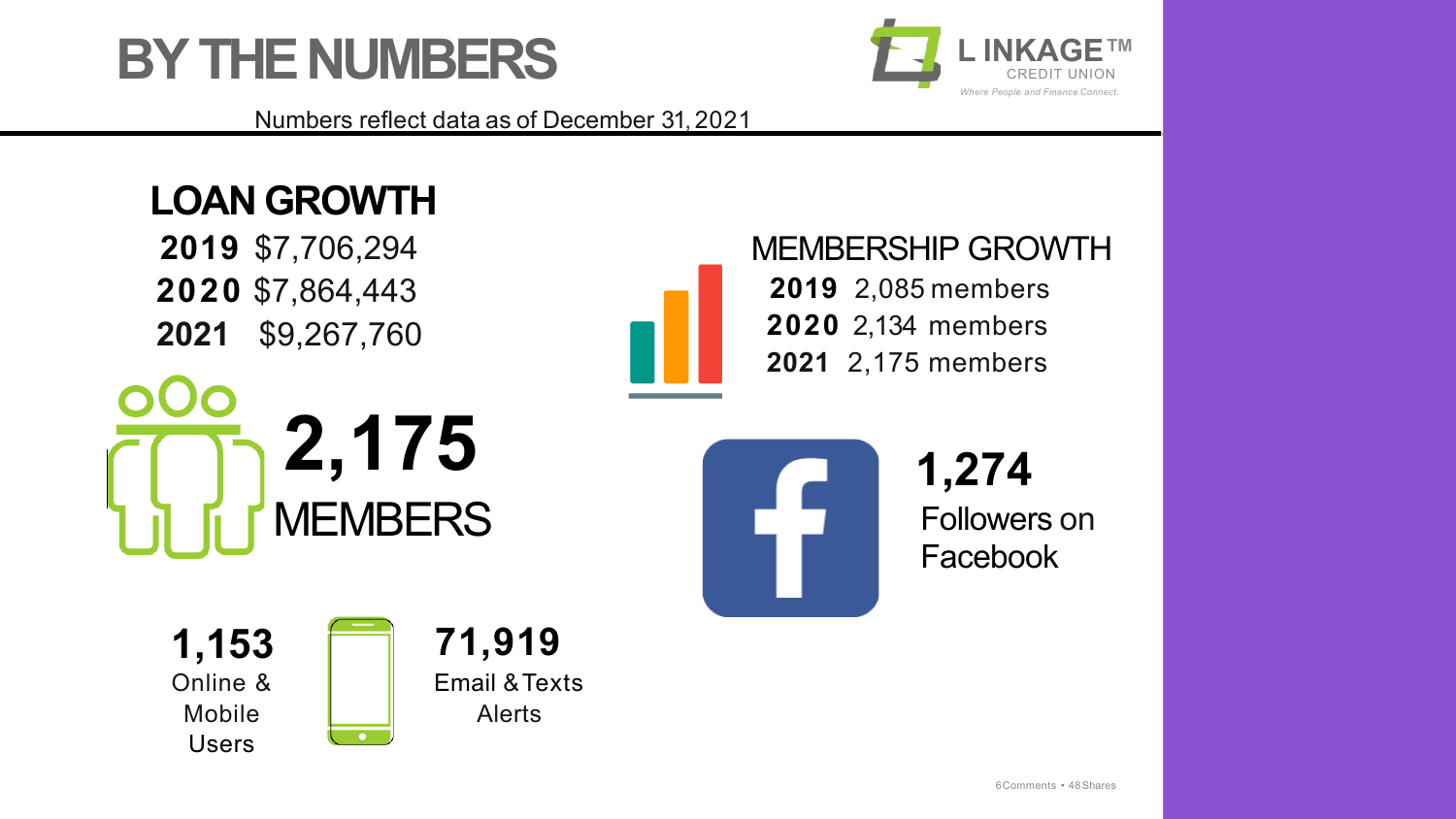



Numbers reflect data as of December 31, 2021

#### **LOAN GROWTH**

**2019** \$7,706,294 **2020** \$7,864,443 **2021** \$9,267,760



 $\overline{\phantom{a}}$ 



MEMBERSHIP GROWTH 2,085 members 2,134 members 2,175 members

**1,274** Followers on Facebook

**1,153** Online & Mobile Users

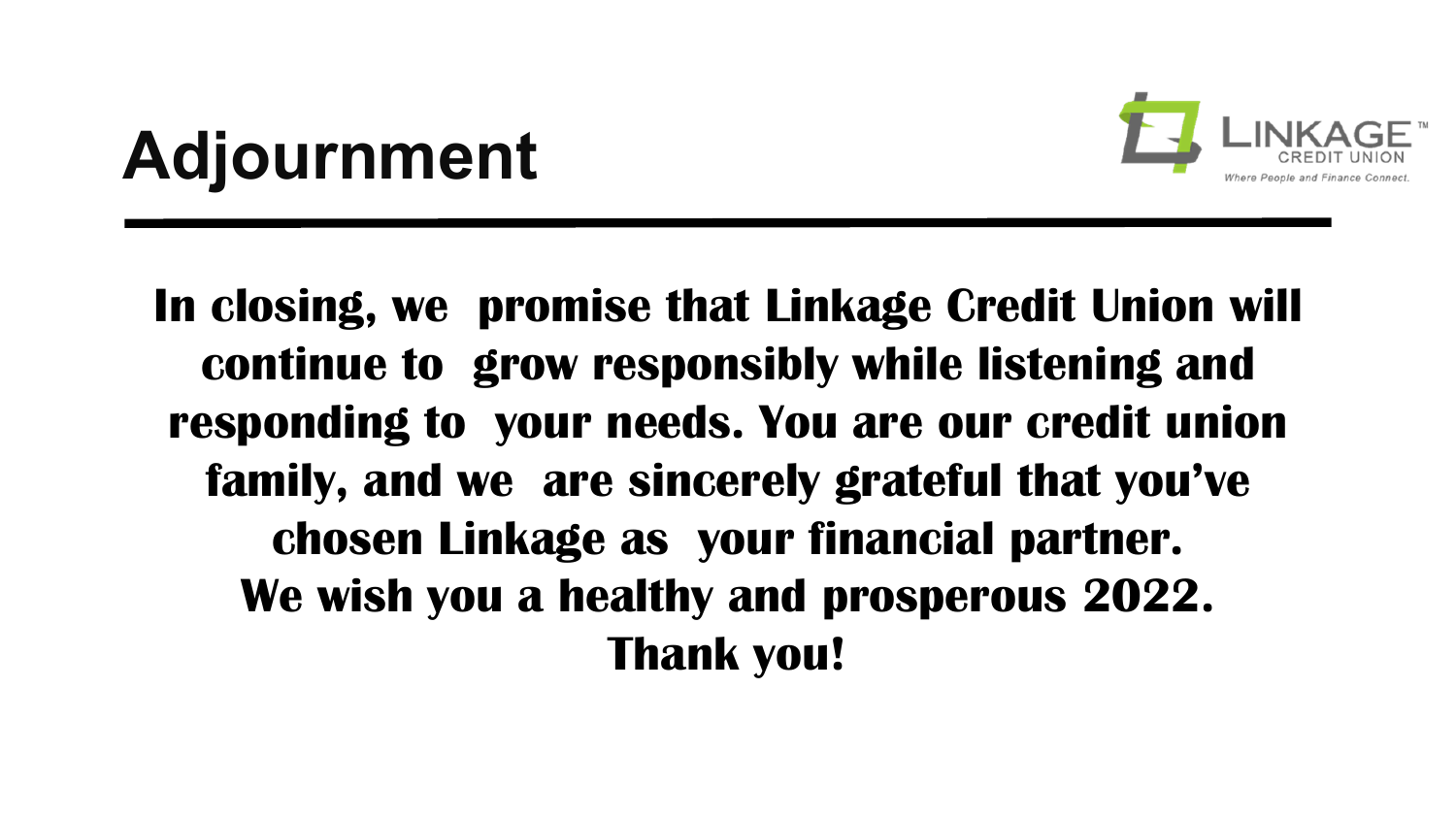

### **Adjournment**

**In closing, we promise that Linkage Credit Union will continue to grow responsibly while listening and responding to your needs. You are our credit union family, and we are sincerely grateful that you've chosen Linkage as your financial partner. We wish you a healthy and prosperous 2022. Thank you!**